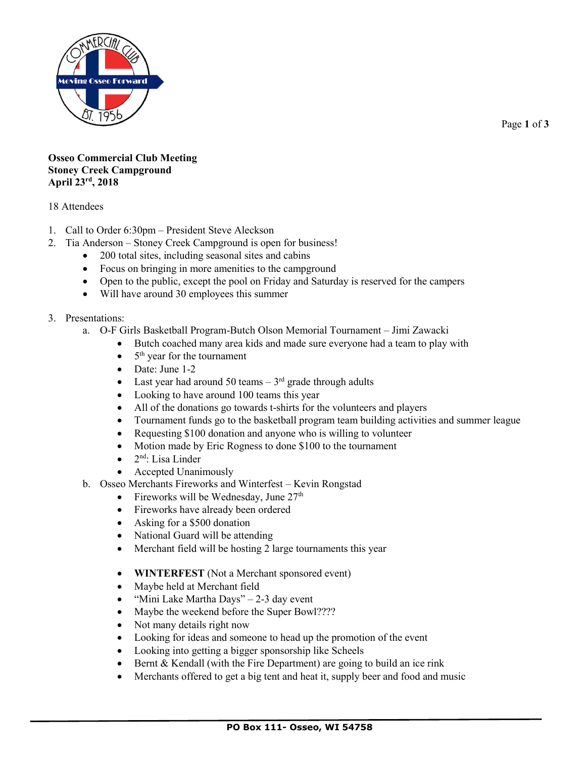

Page **1** of **3**

## **Osseo Commercial Club Meeting Stoney Creek Campground April 23rd, 2018**

## 18 Attendees

- 1. Call to Order 6:30pm President Steve Aleckson
- 2. Tia Anderson Stoney Creek Campground is open for business!
	- 200 total sites, including seasonal sites and cabins
	- Focus on bringing in more amenities to the campground
	- Open to the public, except the pool on Friday and Saturday is reserved for the campers
	- Will have around 30 employees this summer
- 3. Presentations:
	- a. O-F Girls Basketball Program-Butch Olson Memorial Tournament Jimi Zawacki
		- Butch coached many area kids and made sure everyone had a team to play with
		- $\bullet$  5<sup>th</sup> year for the tournament
		- Date: June 1-2
		- Last year had around 50 teams  $-3<sup>rd</sup>$  grade through adults
		- Looking to have around 100 teams this year
		- All of the donations go towards t-shirts for the volunteers and players
		- Tournament funds go to the basketball program team building activities and summer league
		- Requesting \$100 donation and anyone who is willing to volunteer
		- Motion made by Eric Rogness to done \$100 to the tournament
		- $\bullet$  2<sup>nd</sup>: Lisa Linder
		- Accepted Unanimously
	- b. Osseo Merchants Fireworks and Winterfest Kevin Rongstad
		- Fireworks will be Wednesday, June  $27<sup>th</sup>$
		- Fireworks have already been ordered
		- Asking for a \$500 donation
		- National Guard will be attending
		- Merchant field will be hosting 2 large tournaments this year
		- **WINTERFEST** (Not a Merchant sponsored event)
		- Maybe held at Merchant field
		- "Mini Lake Martha Days" 2-3 day event
		- Maybe the weekend before the Super Bowl????
		- Not many details right now
		- Looking for ideas and someone to head up the promotion of the event
		- Looking into getting a bigger sponsorship like Scheels
		- Bernt & Kendall (with the Fire Department) are going to build an ice rink
		- Merchants offered to get a big tent and heat it, supply beer and food and music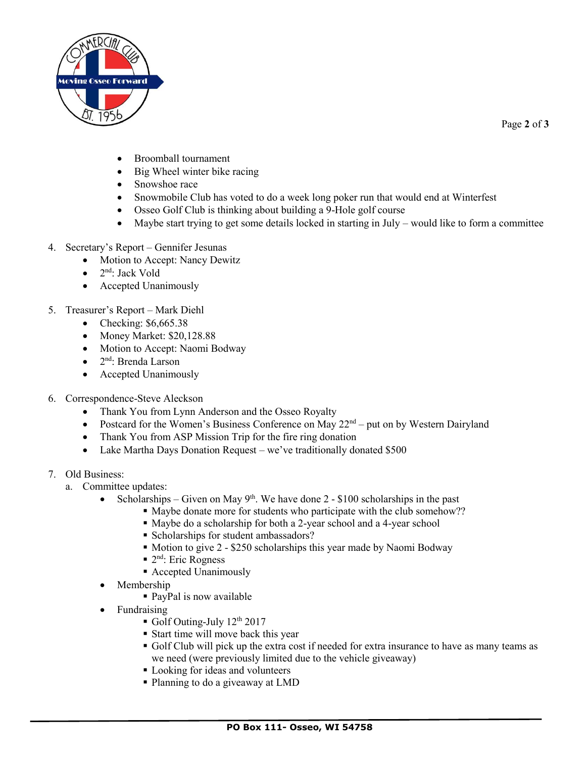

Page **2** of **3**

- Broomball tournament
- Big Wheel winter bike racing
- Snowshoe race
- Snowmobile Club has voted to do a week long poker run that would end at Winterfest
- Osseo Golf Club is thinking about building a 9-Hole golf course
- Maybe start trying to get some details locked in starting in July would like to form a committee
- 4. Secretary's Report Gennifer Jesunas
	- Motion to Accept: Nancy Dewitz
	- 2<sup>nd</sup>: Jack Vold
	- Accepted Unanimously
- 5. Treasurer's Report Mark Diehl
	- Checking: \$6,665.38
	- Money Market: \$20,128.88
	- Motion to Accept: Naomi Bodway
	- 2<sup>nd</sup>: Brenda Larson
	- Accepted Unanimously
- 6. Correspondence-Steve Aleckson
	- Thank You from Lynn Anderson and the Osseo Royalty
	- Postcard for the Women's Business Conference on May  $22<sup>nd</sup>$  put on by Western Dairyland
	- Thank You from ASP Mission Trip for the fire ring donation
	- Lake Martha Days Donation Request we've traditionally donated \$500
- 7. Old Business:
	- a. Committee updates:
		- Scholarships Given on May  $9<sup>th</sup>$ . We have done 2 \$100 scholarships in the past
			- Maybe donate more for students who participate with the club somehow??
			- Maybe do a scholarship for both a 2-year school and a 4-year school
			- Scholarships for student ambassadors?
			- Motion to give 2 \$250 scholarships this year made by Naomi Bodway
			- 2<sup>nd</sup>: Eric Rogness
			- Accepted Unanimously
		- Membership
			- PayPal is now available
		- **Fundraising** 
			- $\blacksquare$  Golf Outing-July 12<sup>th</sup> 2017
			- Start time will move back this year
			- Golf Club will pick up the extra cost if needed for extra insurance to have as many teams as we need (were previously limited due to the vehicle giveaway)
			- **Looking for ideas and volunteers**
			- Planning to do a giveaway at LMD